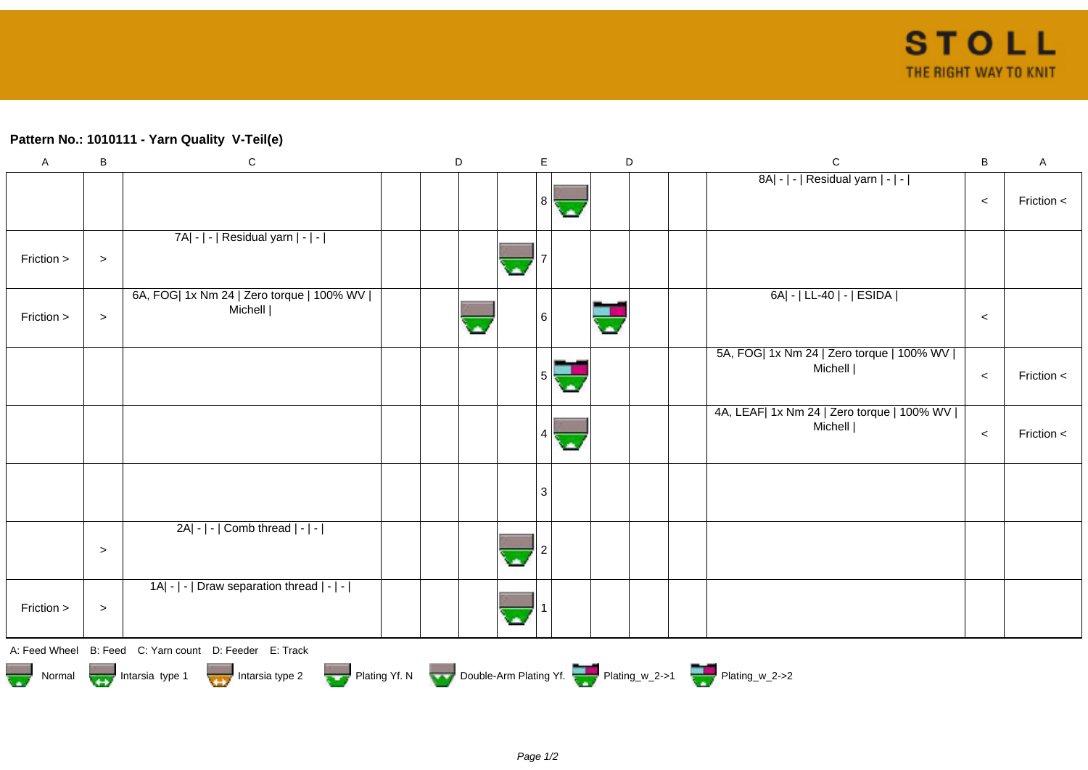## **Pattern No.: 1010111 - Yarn Quality V-Teil(e)**

| $\boldsymbol{\mathsf{A}}$                                                                       | B      | $\mathbf C$                                            |  | D |  | $\mathsf E$    |                       | $\mathsf D$ |  |  | $\mathbf C$                                             | B     | $\mathsf A$    |
|-------------------------------------------------------------------------------------------------|--------|--------------------------------------------------------|--|---|--|----------------|-----------------------|-------------|--|--|---------------------------------------------------------|-------|----------------|
|                                                                                                 |        |                                                        |  |   |  | 8 <sup>1</sup> | G.                    |             |  |  | 8A  -   -   Residual yarn   -   -                       | $\,<$ | Friction $\lt$ |
| Friction >                                                                                      | $\, >$ | 7A  -   -   Residual yarn   -   -                      |  |   |  |                |                       |             |  |  |                                                         |       |                |
| Friction >                                                                                      | $\, >$ | 6A, FOG  1x Nm 24   Zero torque   100% WV  <br>Michell |  |   |  | 6              |                       |             |  |  | 6A  -   LL-40   -   ESIDA                               | $\,<$ |                |
|                                                                                                 |        |                                                        |  |   |  | 5              | $\blacktriangleright$ |             |  |  | 5A, FOG  1x Nm 24   Zero torque   100% WV  <br>Michell  | $\,<$ | Friction $\lt$ |
|                                                                                                 |        |                                                        |  |   |  | 4              | ä.                    |             |  |  | 4A, LEAF  1x Nm 24   Zero torque   100% WV  <br>Michell | $\,<$ | Friction <     |
|                                                                                                 |        |                                                        |  |   |  | 3              |                       |             |  |  |                                                         |       |                |
|                                                                                                 | $\, >$ | $2A - - $ Comb thread $ - - $                          |  |   |  |                |                       |             |  |  |                                                         |       |                |
| Friction >                                                                                      | $\, >$ | 1A  -   -   Draw separation thread   -   -             |  |   |  |                |                       |             |  |  |                                                         |       |                |
|                                                                                                 |        | A: Feed Wheel B: Feed C: Yarn count D: Feeder E: Track |  |   |  |                |                       |             |  |  |                                                         |       |                |
| Normal 1999 Intarsia type 1 Intarsia type 2 Plating Yf. N Double-Arm Plating Yf. Plating_w_2->1 |        |                                                        |  |   |  |                |                       |             |  |  |                                                         |       |                |